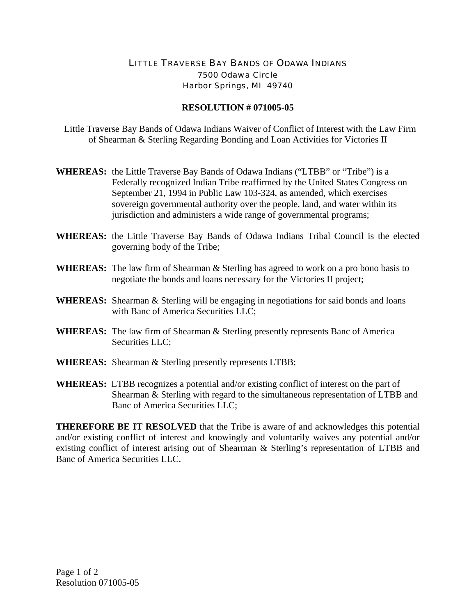## LITTLE TRAVERSE BAY BANDS OF ODAWA INDIANS 7500 Odawa Circle Harbor Springs, MI 49740

## **RESOLUTION # 071005-05**

 Little Traverse Bay Bands of Odawa Indians Waiver of Conflict of Interest with the Law Firm of Shearman & Sterling Regarding Bonding and Loan Activities for Victories II

- **WHEREAS:** the Little Traverse Bay Bands of Odawa Indians ("LTBB" or "Tribe") is a Federally recognized Indian Tribe reaffirmed by the United States Congress on September 21, 1994 in Public Law 103-324, as amended, which exercises sovereign governmental authority over the people, land, and water within its jurisdiction and administers a wide range of governmental programs;
- **WHEREAS:** the Little Traverse Bay Bands of Odawa Indians Tribal Council is the elected governing body of the Tribe;
- **WHEREAS:** The law firm of Shearman & Sterling has agreed to work on a pro bono basis to negotiate the bonds and loans necessary for the Victories II project;
- **WHEREAS:** Shearman & Sterling will be engaging in negotiations for said bonds and loans with Banc of America Securities LLC;
- **WHEREAS:** The law firm of Shearman & Sterling presently represents Banc of America Securities LLC;
- WHEREAS: Shearman & Sterling presently represents LTBB;
- **WHEREAS:** LTBB recognizes a potential and/or existing conflict of interest on the part of Shearman & Sterling with regard to the simultaneous representation of LTBB and Banc of America Securities LLC;

**THEREFORE BE IT RESOLVED** that the Tribe is aware of and acknowledges this potential and/or existing conflict of interest and knowingly and voluntarily waives any potential and/or existing conflict of interest arising out of Shearman & Sterling's representation of LTBB and Banc of America Securities LLC.